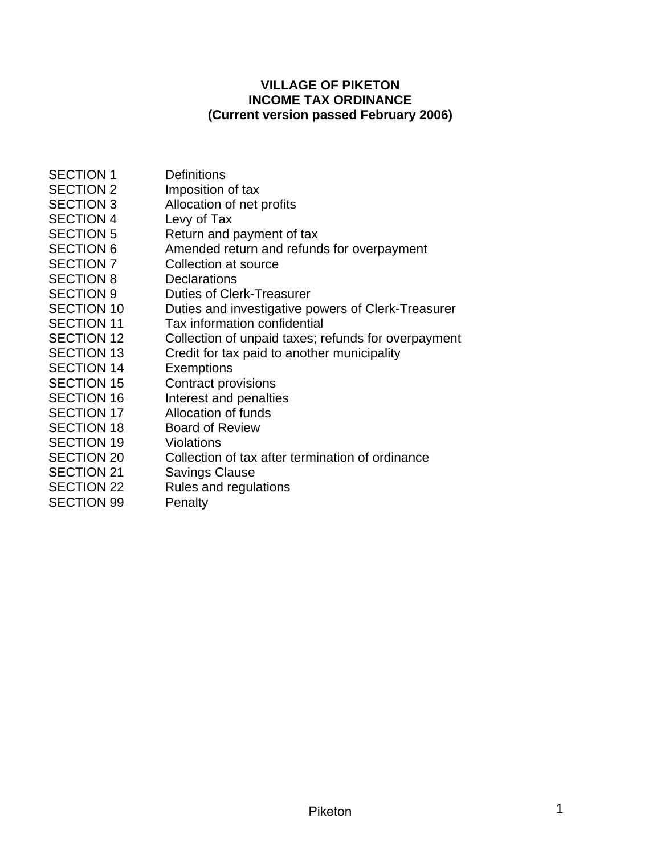## **VILLAGE OF PIKETON INCOME TAX ORDINANCE (Current version passed February 2006)**

| <b>SECTION 1</b>  | <b>Definitions</b>                                  |
|-------------------|-----------------------------------------------------|
| <b>SECTION 2</b>  | Imposition of tax                                   |
| <b>SECTION 3</b>  | Allocation of net profits                           |
| <b>SECTION 4</b>  | Levy of Tax                                         |
| <b>SECTION 5</b>  | Return and payment of tax                           |
| <b>SECTION 6</b>  | Amended return and refunds for overpayment          |
| <b>SECTION 7</b>  | Collection at source                                |
| <b>SECTION 8</b>  | <b>Declarations</b>                                 |
| <b>SECTION 9</b>  | <b>Duties of Clerk-Treasurer</b>                    |
| <b>SECTION 10</b> | Duties and investigative powers of Clerk-Treasurer  |
| <b>SECTION 11</b> | Tax information confidential                        |
| <b>SECTION 12</b> | Collection of unpaid taxes; refunds for overpayment |
| <b>SECTION 13</b> | Credit for tax paid to another municipality         |
| <b>SECTION 14</b> | <b>Exemptions</b>                                   |
| <b>SECTION 15</b> | <b>Contract provisions</b>                          |
| <b>SECTION 16</b> | Interest and penalties                              |
| <b>SECTION 17</b> | Allocation of funds                                 |
| <b>SECTION 18</b> | <b>Board of Review</b>                              |
| <b>SECTION 19</b> | <b>Violations</b>                                   |
| <b>SECTION 20</b> | Collection of tax after termination of ordinance    |
| <b>SECTION 21</b> | <b>Savings Clause</b>                               |
| <b>SECTION 22</b> | Rules and regulations                               |
| <b>SECTION 99</b> | Penalty                                             |
|                   |                                                     |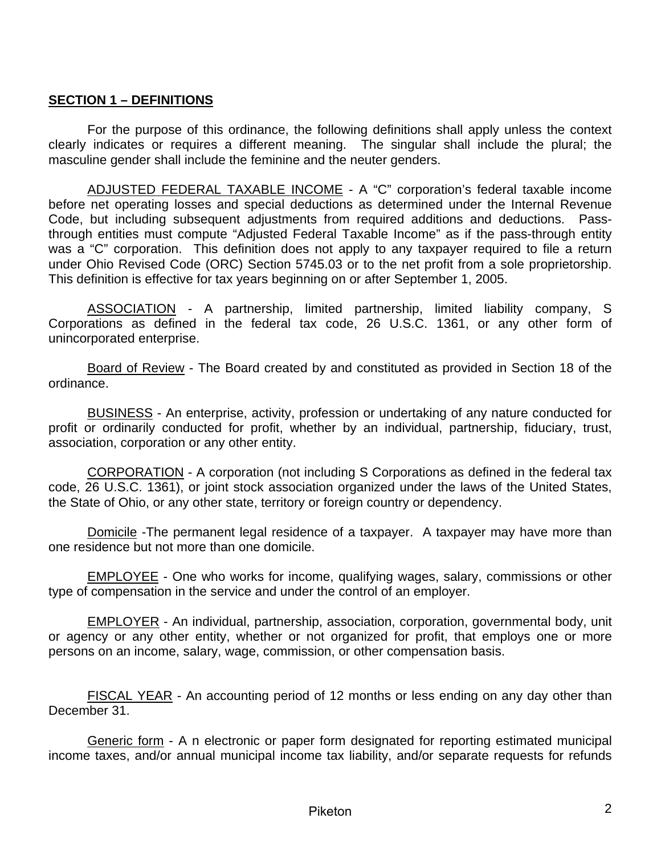## <span id="page-1-0"></span>**SECTION 1 – DEFINITIONS**

For the purpose of this ordinance, the following definitions shall apply unless the context clearly indicates or requires a different meaning. The singular shall include the plural; the masculine gender shall include the feminine and the neuter genders.

ADJUSTED FEDERAL TAXABLE INCOME - A "C" corporation's federal taxable income before net operating losses and special deductions as determined under the Internal Revenue Code, but including subsequent adjustments from required additions and deductions. Passthrough entities must compute "Adjusted Federal Taxable Income" as if the pass-through entity was a "C" corporation. This definition does not apply to any taxpayer required to file a return under Ohio Revised Code (ORC) Section 5745.03 or to the net profit from a sole proprietorship. This definition is effective for tax years beginning on or after September 1, 2005.

ASSOCIATION - A partnership, limited partnership, limited liability company, S Corporations as defined in the federal tax code, 26 U.S.C. 1361, or any other form of unincorporated enterprise.

Board of Review - The Board created by and constituted as provided in Section 18 of the ordinance.

BUSINESS - An enterprise, activity, profession or undertaking of any nature conducted for profit or ordinarily conducted for profit, whether by an individual, partnership, fiduciary, trust, association, corporation or any other entity.

CORPORATION - A corporation (not including S Corporations as defined in the federal tax code, 26 U.S.C. 1361), or joint stock association organized under the laws of the United States, the State of Ohio, or any other state, territory or foreign country or dependency.

Domicile -The permanent legal residence of a taxpayer. A taxpayer may have more than one residence but not more than one domicile.

EMPLOYEE - One who works for income, qualifying wages, salary, commissions or other type of compensation in the service and under the control of an employer.

EMPLOYER - An individual, partnership, association, corporation, governmental body, unit or agency or any other entity, whether or not organized for profit, that employs one or more persons on an income, salary, wage, commission, or other compensation basis.

FISCAL YEAR - An accounting period of 12 months or less ending on any day other than December 31.

Generic form - A n electronic or paper form designated for reporting estimated municipal income taxes, and/or annual municipal income tax liability, and/or separate requests for refunds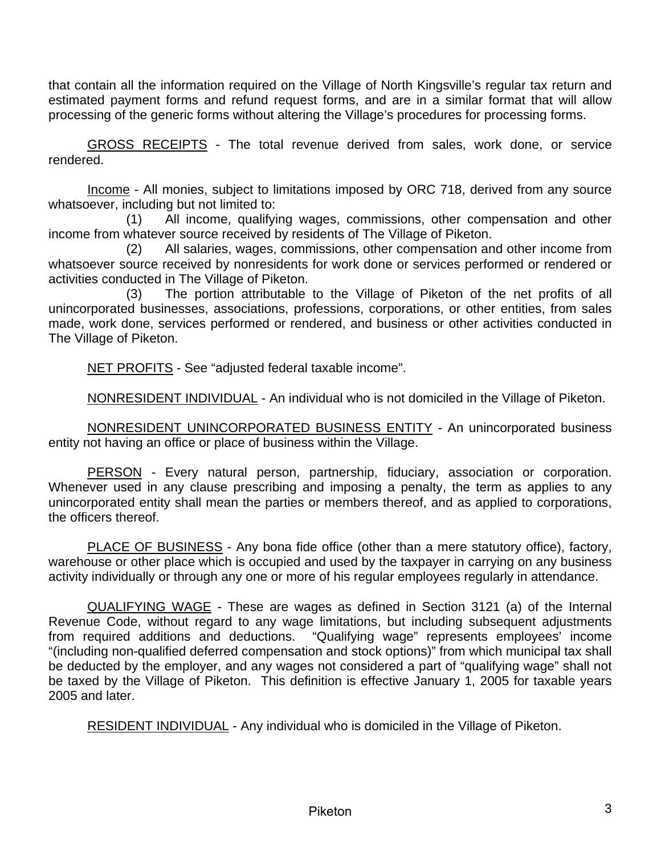that contain all the information required on the Village of North Kingsville's regular tax return and estimated payment forms and refund request forms, and are in a similar format that will allow processing of the generic forms without altering the Village's procedures for processing forms.

GROSS RECEIPTS - The total revenue derived from sales, work done, or service rendered.

Income - All monies, subject to limitations imposed by ORC 718, derived from any source whatsoever, including but not limited to:

(1) All income, qualifying wages, commissions, other compensation and other income from whatever source received by residents of The Village of Piketon.

(2) All salaries, wages, commissions, other compensation and other income from whatsoever source received by nonresidents for work done or services performed or rendered or activities conducted in The Village of Piketon.

(3) The portion attributable to the Village of Piketon of the net profits of all unincorporated businesses, associations, professions, corporations, or other entities, from sales made, work done, services performed or rendered, and business or other activities conducted in The Village of Piketon.

NET PROFITS - See "adjusted federal taxable income".

NONRESIDENT INDIVIDUAL - An individual who is not domiciled in the Village of Piketon.

NONRESIDENT UNINCORPORATED BUSINESS ENTITY - An unincorporated business entity not having an office or place of business within the Village.

PERSON - Every natural person, partnership, fiduciary, association or corporation. Whenever used in any clause prescribing and imposing a penalty, the term as applies to any unincorporated entity shall mean the parties or members thereof, and as applied to corporations, the officers thereof.

PLACE OF BUSINESS - Any bona fide office (other than a mere statutory office), factory, warehouse or other place which is occupied and used by the taxpayer in carrying on any business activity individually or through any one or more of his regular employees regularly in attendance.

QUALIFYING WAGE - These are wages as defined in Section 3121 (a) of the Internal Revenue Code, without regard to any wage limitations, but including subsequent adjustments from required additions and deductions. "Qualifying wage" represents employees' income "(including non-qualified deferred compensation and stock options)" from which municipal tax shall be deducted by the employer, and any wages not considered a part of "qualifying wage" shall not be taxed by the Village of Piketon. This definition is effective January 1, 2005 for taxable years 2005 and later.

RESIDENT INDIVIDUAL - Any individual who is domiciled in the Village of Piketon.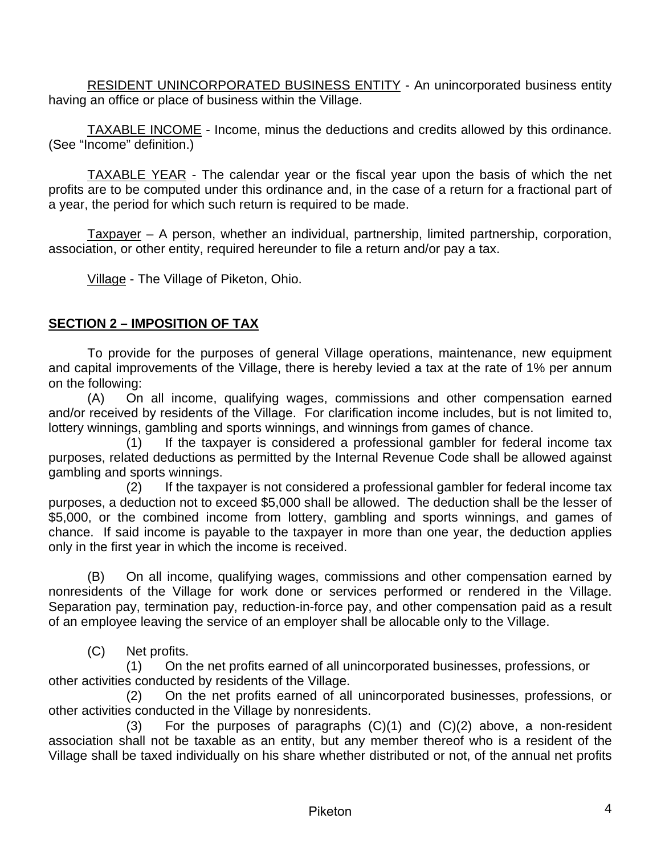<span id="page-3-0"></span>RESIDENT UNINCORPORATED BUSINESS ENTITY - An unincorporated business entity having an office or place of business within the Village.

TAXABLE INCOME - Income, minus the deductions and credits allowed by this ordinance. (See "Income" definition.)

TAXABLE YEAR - The calendar year or the fiscal year upon the basis of which the net profits are to be computed under this ordinance and, in the case of a return for a fractional part of a year, the period for which such return is required to be made.

Taxpayer – A person, whether an individual, partnership, limited partnership, corporation, association, or other entity, required hereunder to file a return and/or pay a tax.

Village - The Village of Piketon, Ohio.

## **SECTION 2 – IMPOSITION OF TAX**

To provide for the purposes of general Village operations, maintenance, new equipment and capital improvements of the Village, there is hereby levied a tax at the rate of 1% per annum on the following:

(A) On all income, qualifying wages, commissions and other compensation earned and/or received by residents of the Village. For clarification income includes, but is not limited to, lottery winnings, gambling and sports winnings, and winnings from games of chance.

(1) If the taxpayer is considered a professional gambler for federal income tax purposes, related deductions as permitted by the Internal Revenue Code shall be allowed against gambling and sports winnings.

(2) If the taxpayer is not considered a professional gambler for federal income tax purposes, a deduction not to exceed \$5,000 shall be allowed. The deduction shall be the lesser of \$5,000, or the combined income from lottery, gambling and sports winnings, and games of chance. If said income is payable to the taxpayer in more than one year, the deduction applies only in the first year in which the income is received.

(B) On all income, qualifying wages, commissions and other compensation earned by nonresidents of the Village for work done or services performed or rendered in the Village. Separation pay, termination pay, reduction-in-force pay, and other compensation paid as a result of an employee leaving the service of an employer shall be allocable only to the Village.

(C) Net profits.

(1) On the net profits earned of all unincorporated businesses, professions, or other activities conducted by residents of the Village.

(2) On the net profits earned of all unincorporated businesses, professions, or other activities conducted in the Village by nonresidents.

(3) For the purposes of paragraphs (C)(1) and (C)(2) above, a non-resident association shall not be taxable as an entity, but any member thereof who is a resident of the Village shall be taxed individually on his share whether distributed or not, of the annual net profits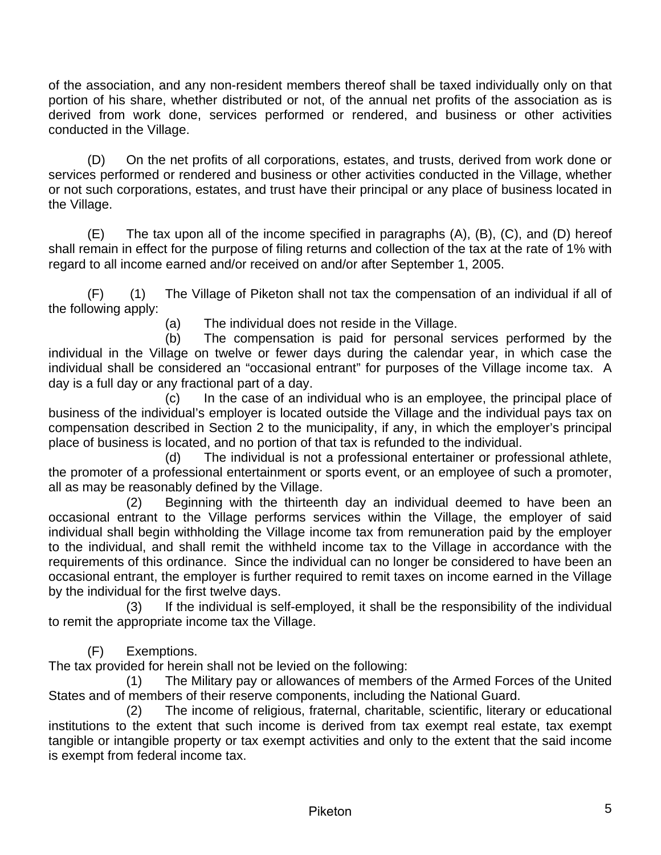of the association, and any non-resident members thereof shall be taxed individually only on that portion of his share, whether distributed or not, of the annual net profits of the association as is derived from work done, services performed or rendered, and business or other activities conducted in the Village.

(D) On the net profits of all corporations, estates, and trusts, derived from work done or services performed or rendered and business or other activities conducted in the Village, whether or not such corporations, estates, and trust have their principal or any place of business located in the Village.

(E) The tax upon all of the income specified in paragraphs (A), (B), (C), and (D) hereof shall remain in effect for the purpose of filing returns and collection of the tax at the rate of 1% with regard to all income earned and/or received on and/or after September 1, 2005.

(F) (1) The Village of Piketon shall not tax the compensation of an individual if all of the following apply:

(a) The individual does not reside in the Village.

 (b) The compensation is paid for personal services performed by the individual in the Village on twelve or fewer days during the calendar year, in which case the individual shall be considered an "occasional entrant" for purposes of the Village income tax. A day is a full day or any fractional part of a day.

(c) In the case of an individual who is an employee, the principal place of business of the individual's employer is located outside the Village and the individual pays tax on compensation described in Section 2 to the municipality, if any, in which the employer's principal place of business is located, and no portion of that tax is refunded to the individual.

(d) The individual is not a professional entertainer or professional athlete, the promoter of a professional entertainment or sports event, or an employee of such a promoter, all as may be reasonably defined by the Village.

(2) Beginning with the thirteenth day an individual deemed to have been an occasional entrant to the Village performs services within the Village, the employer of said individual shall begin withholding the Village income tax from remuneration paid by the employer to the individual, and shall remit the withheld income tax to the Village in accordance with the requirements of this ordinance. Since the individual can no longer be considered to have been an occasional entrant, the employer is further required to remit taxes on income earned in the Village by the individual for the first twelve days.

(3) If the individual is self-employed, it shall be the responsibility of the individual to remit the appropriate income tax the Village.

(F) Exemptions.

The tax provided for herein shall not be levied on the following:

(1) The Military pay or allowances of members of the Armed Forces of the United States and of members of their reserve components, including the National Guard.

(2) The income of religious, fraternal, charitable, scientific, literary or educational institutions to the extent that such income is derived from tax exempt real estate, tax exempt tangible or intangible property or tax exempt activities and only to the extent that the said income is exempt from federal income tax.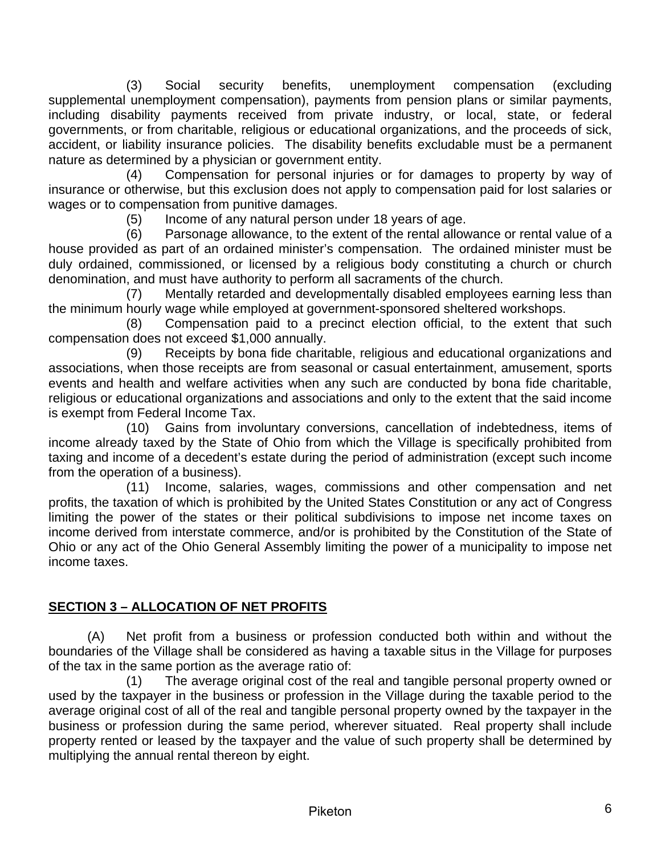<span id="page-5-0"></span>(3) Social security benefits, unemployment compensation (excluding supplemental unemployment compensation), payments from pension plans or similar payments, including disability payments received from private industry, or local, state, or federal governments, or from charitable, religious or educational organizations, and the proceeds of sick, accident, or liability insurance policies. The disability benefits excludable must be a permanent nature as determined by a physician or government entity.

(4) Compensation for personal injuries or for damages to property by way of insurance or otherwise, but this exclusion does not apply to compensation paid for lost salaries or wages or to compensation from punitive damages.

(5) Income of any natural person under 18 years of age.

 (6) Parsonage allowance, to the extent of the rental allowance or rental value of a house provided as part of an ordained minister's compensation. The ordained minister must be duly ordained, commissioned, or licensed by a religious body constituting a church or church denomination, and must have authority to perform all sacraments of the church.

 (7) Mentally retarded and developmentally disabled employees earning less than the minimum hourly wage while employed at government-sponsored sheltered workshops.

(8) Compensation paid to a precinct election official, to the extent that such compensation does not exceed \$1,000 annually.

(9) Receipts by bona fide charitable, religious and educational organizations and associations, when those receipts are from seasonal or casual entertainment, amusement, sports events and health and welfare activities when any such are conducted by bona fide charitable, religious or educational organizations and associations and only to the extent that the said income is exempt from Federal Income Tax.

(10) Gains from involuntary conversions, cancellation of indebtedness, items of income already taxed by the State of Ohio from which the Village is specifically prohibited from taxing and income of a decedent's estate during the period of administration (except such income from the operation of a business).

(11) Income, salaries, wages, commissions and other compensation and net profits, the taxation of which is prohibited by the United States Constitution or any act of Congress limiting the power of the states or their political subdivisions to impose net income taxes on income derived from interstate commerce, and/or is prohibited by the Constitution of the State of Ohio or any act of the Ohio General Assembly limiting the power of a municipality to impose net income taxes.

## **SECTION 3 – ALLOCATION OF NET PROFITS**

(A) Net profit from a business or profession conducted both within and without the boundaries of the Village shall be considered as having a taxable situs in the Village for purposes of the tax in the same portion as the average ratio of:

(1) The average original cost of the real and tangible personal property owned or used by the taxpayer in the business or profession in the Village during the taxable period to the average original cost of all of the real and tangible personal property owned by the taxpayer in the business or profession during the same period, wherever situated. Real property shall include property rented or leased by the taxpayer and the value of such property shall be determined by multiplying the annual rental thereon by eight.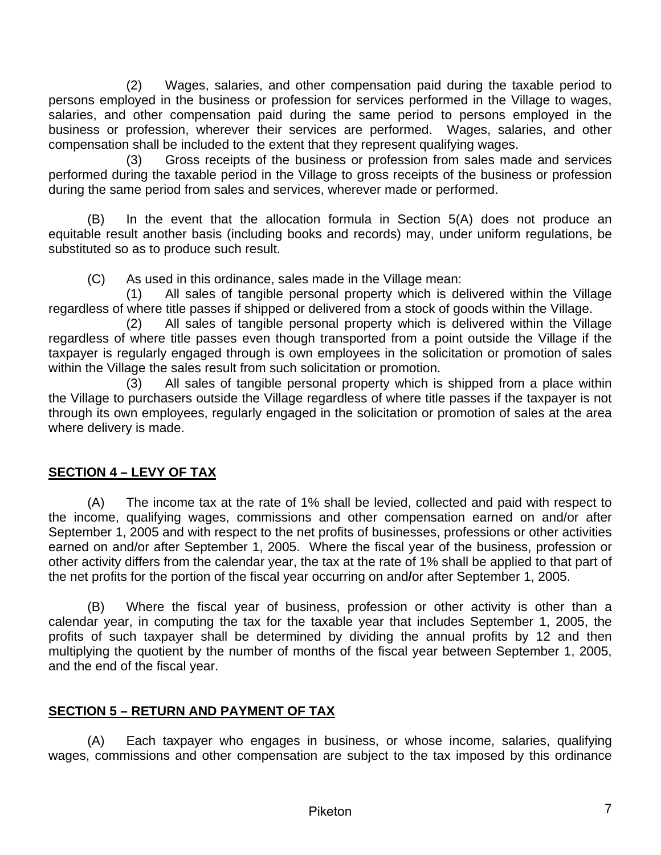<span id="page-6-0"></span>(2) Wages, salaries, and other compensation paid during the taxable period to persons employed in the business or profession for services performed in the Village to wages, salaries, and other compensation paid during the same period to persons employed in the business or profession, wherever their services are performed. Wages, salaries, and other compensation shall be included to the extent that they represent qualifying wages.

(3) Gross receipts of the business or profession from sales made and services performed during the taxable period in the Village to gross receipts of the business or profession during the same period from sales and services, wherever made or performed.

(B) In the event that the allocation formula in Section 5(A) does not produce an equitable result another basis (including books and records) may, under uniform regulations, be substituted so as to produce such result.

(C) As used in this ordinance, sales made in the Village mean:

(1) All sales of tangible personal property which is delivered within the Village regardless of where title passes if shipped or delivered from a stock of goods within the Village.

(2) All sales of tangible personal property which is delivered within the Village regardless of where title passes even though transported from a point outside the Village if the taxpayer is regularly engaged through is own employees in the solicitation or promotion of sales within the Village the sales result from such solicitation or promotion.

(3) All sales of tangible personal property which is shipped from a place within the Village to purchasers outside the Village regardless of where title passes if the taxpayer is not through its own employees, regularly engaged in the solicitation or promotion of sales at the area where delivery is made.

# **SECTION 4 – LEVY OF TAX**

(A) The income tax at the rate of 1% shall be levied, collected and paid with respect to the income, qualifying wages, commissions and other compensation earned on and/or after September 1, 2005 and with respect to the net profits of businesses, professions or other activities earned on and/or after September 1, 2005. Where the fiscal year of the business, profession or other activity differs from the calendar year, the tax at the rate of 1% shall be applied to that part of the net profits for the portion of the fiscal year occurring on and**/**or after September 1, 2005.

(B) Where the fiscal year of business, profession or other activity is other than a calendar year, in computing the tax for the taxable year that includes September 1, 2005, the profits of such taxpayer shall be determined by dividing the annual profits by 12 and then multiplying the quotient by the number of months of the fiscal year between September 1, 2005, and the end of the fiscal year.

# **SECTION 5 – RETURN AND PAYMENT OF TAX**

(A) Each taxpayer who engages in business, or whose income, salaries, qualifying wages, commissions and other compensation are subject to the tax imposed by this ordinance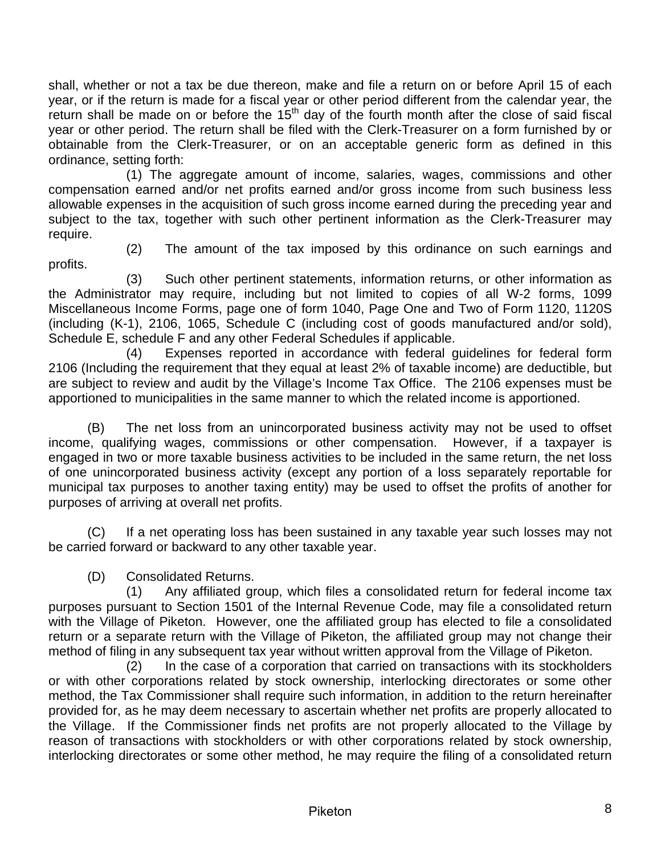shall, whether or not a tax be due thereon, make and file a return on or before April 15 of each year, or if the return is made for a fiscal year or other period different from the calendar year, the return shall be made on or before the 15<sup>th</sup> day of the fourth month after the close of said fiscal year or other period. The return shall be filed with the Clerk-Treasurer on a form furnished by or obtainable from the Clerk-Treasurer, or on an acceptable generic form as defined in this ordinance, setting forth:

(1) The aggregate amount of income, salaries, wages, commissions and other compensation earned and/or net profits earned and/or gross income from such business less allowable expenses in the acquisition of such gross income earned during the preceding year and subject to the tax, together with such other pertinent information as the Clerk-Treasurer may require.

profits.

(2) The amount of the tax imposed by this ordinance on such earnings and

(3) Such other pertinent statements, information returns, or other information as the Administrator may require, including but not limited to copies of all W-2 forms, 1099 Miscellaneous Income Forms, page one of form 1040, Page One and Two of Form 1120, 1120S (including (K-1), 2106, 1065, Schedule C (including cost of goods manufactured and/or sold), Schedule E, schedule F and any other Federal Schedules if applicable.

 (4) Expenses reported in accordance with federal guidelines for federal form 2106 (Including the requirement that they equal at least 2% of taxable income) are deductible, but are subject to review and audit by the Village's Income Tax Office. The 2106 expenses must be apportioned to municipalities in the same manner to which the related income is apportioned.

(B) The net loss from an unincorporated business activity may not be used to offset income, qualifying wages, commissions or other compensation. However, if a taxpayer is engaged in two or more taxable business activities to be included in the same return, the net loss of one unincorporated business activity (except any portion of a loss separately reportable for municipal tax purposes to another taxing entity) may be used to offset the profits of another for purposes of arriving at overall net profits.

(C) If a net operating loss has been sustained in any taxable year such losses may not be carried forward or backward to any other taxable year.

(D) Consolidated Returns.

(1) Any affiliated group, which files a consolidated return for federal income tax purposes pursuant to Section 1501 of the Internal Revenue Code, may file a consolidated return with the Village of Piketon. However, one the affiliated group has elected to file a consolidated return or a separate return with the Village of Piketon, the affiliated group may not change their method of filing in any subsequent tax year without written approval from the Village of Piketon.

(2) In the case of a corporation that carried on transactions with its stockholders or with other corporations related by stock ownership, interlocking directorates or some other method, the Tax Commissioner shall require such information, in addition to the return hereinafter provided for, as he may deem necessary to ascertain whether net profits are properly allocated to the Village. If the Commissioner finds net profits are not properly allocated to the Village by reason of transactions with stockholders or with other corporations related by stock ownership, interlocking directorates or some other method, he may require the filing of a consolidated return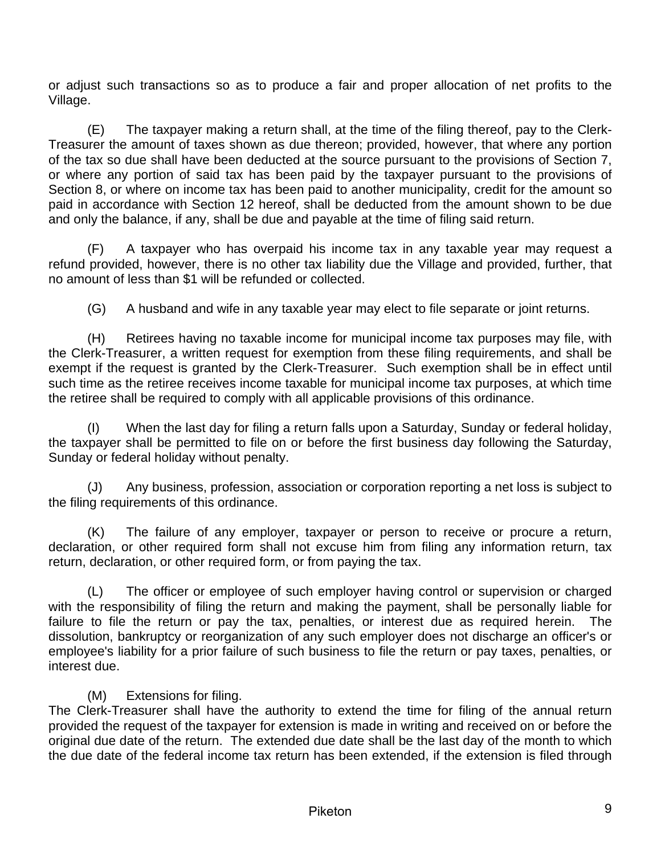or adjust such transactions so as to produce a fair and proper allocation of net profits to the Village.

(E) The taxpayer making a return shall, at the time of the filing thereof, pay to the Clerk-Treasurer the amount of taxes shown as due thereon; provided, however, that where any portion of the tax so due shall have been deducted at the source pursuant to the provisions of Section 7, or where any portion of said tax has been paid by the taxpayer pursuant to the provisions of Section 8, or where on income tax has been paid to another municipality, credit for the amount so paid in accordance with Section 12 hereof, shall be deducted from the amount shown to be due and only the balance, if any, shall be due and payable at the time of filing said return.

(F) A taxpayer who has overpaid his income tax in any taxable year may request a refund provided, however, there is no other tax liability due the Village and provided, further, that no amount of less than \$1 will be refunded or collected.

(G) A husband and wife in any taxable year may elect to file separate or joint returns.

(H) Retirees having no taxable income for municipal income tax purposes may file, with the Clerk-Treasurer, a written request for exemption from these filing requirements, and shall be exempt if the request is granted by the Clerk-Treasurer. Such exemption shall be in effect until such time as the retiree receives income taxable for municipal income tax purposes, at which time the retiree shall be required to comply with all applicable provisions of this ordinance.

When the last day for filing a return falls upon a Saturday, Sunday or federal holiday, the taxpayer shall be permitted to file on or before the first business day following the Saturday, Sunday or federal holiday without penalty.

(J) Any business, profession, association or corporation reporting a net loss is subject to the filing requirements of this ordinance.

(K) The failure of any employer, taxpayer or person to receive or procure a return, declaration, or other required form shall not excuse him from filing any information return, tax return, declaration, or other required form, or from paying the tax.

(L) The officer or employee of such employer having control or supervision or charged with the responsibility of filing the return and making the payment, shall be personally liable for failure to file the return or pay the tax, penalties, or interest due as required herein. The dissolution, bankruptcy or reorganization of any such employer does not discharge an officer's or employee's liability for a prior failure of such business to file the return or pay taxes, penalties, or interest due.

(M) Extensions for filing.

The Clerk-Treasurer shall have the authority to extend the time for filing of the annual return provided the request of the taxpayer for extension is made in writing and received on or before the original due date of the return. The extended due date shall be the last day of the month to which the due date of the federal income tax return has been extended, if the extension is filed through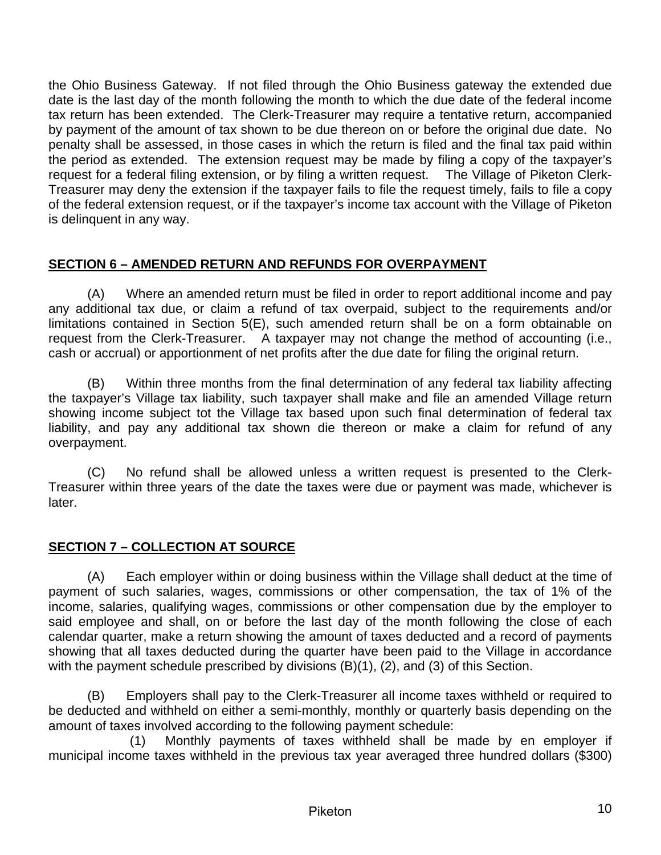<span id="page-9-0"></span>the Ohio Business Gateway. If not filed through the Ohio Business gateway the extended due date is the last day of the month following the month to which the due date of the federal income tax return has been extended. The Clerk-Treasurer may require a tentative return, accompanied by payment of the amount of tax shown to be due thereon on or before the original due date. No penalty shall be assessed, in those cases in which the return is filed and the final tax paid within the period as extended. The extension request may be made by filing a copy of the taxpayer's request for a federal filing extension, or by filing a written request. The Village of Piketon Clerk-Treasurer may deny the extension if the taxpayer fails to file the request timely, fails to file a copy of the federal extension request, or if the taxpayer's income tax account with the Village of Piketon is delinquent in any way.

## **SECTION 6 – AMENDED RETURN AND REFUNDS FOR OVERPAYMENT**

(A) Where an amended return must be filed in order to report additional income and pay any additional tax due, or claim a refund of tax overpaid, subject to the requirements and/or limitations contained in Section 5(E), such amended return shall be on a form obtainable on request from the Clerk-Treasurer. A taxpayer may not change the method of accounting (i.e., cash or accrual) or apportionment of net profits after the due date for filing the original return.

(B) Within three months from the final determination of any federal tax liability affecting the taxpayer's Village tax liability, such taxpayer shall make and file an amended Village return showing income subject tot the Village tax based upon such final determination of federal tax liability, and pay any additional tax shown die thereon or make a claim for refund of any overpayment.

(C) No refund shall be allowed unless a written request is presented to the Clerk-Treasurer within three years of the date the taxes were due or payment was made, whichever is later.

# **SECTION 7 – COLLECTION AT SOURCE**

(A) Each employer within or doing business within the Village shall deduct at the time of payment of such salaries, wages, commissions or other compensation, the tax of 1% of the income, salaries, qualifying wages, commissions or other compensation due by the employer to said employee and shall, on or before the last day of the month following the close of each calendar quarter, make a return showing the amount of taxes deducted and a record of payments showing that all taxes deducted during the quarter have been paid to the Village in accordance with the payment schedule prescribed by divisions (B)(1), (2), and (3) of this Section.

(B) Employers shall pay to the Clerk-Treasurer all income taxes withheld or required to be deducted and withheld on either a semi-monthly, monthly or quarterly basis depending on the amount of taxes involved according to the following payment schedule:

(1) Monthly payments of taxes withheld shall be made by en employer if municipal income taxes withheld in the previous tax year averaged three hundred dollars (\$300)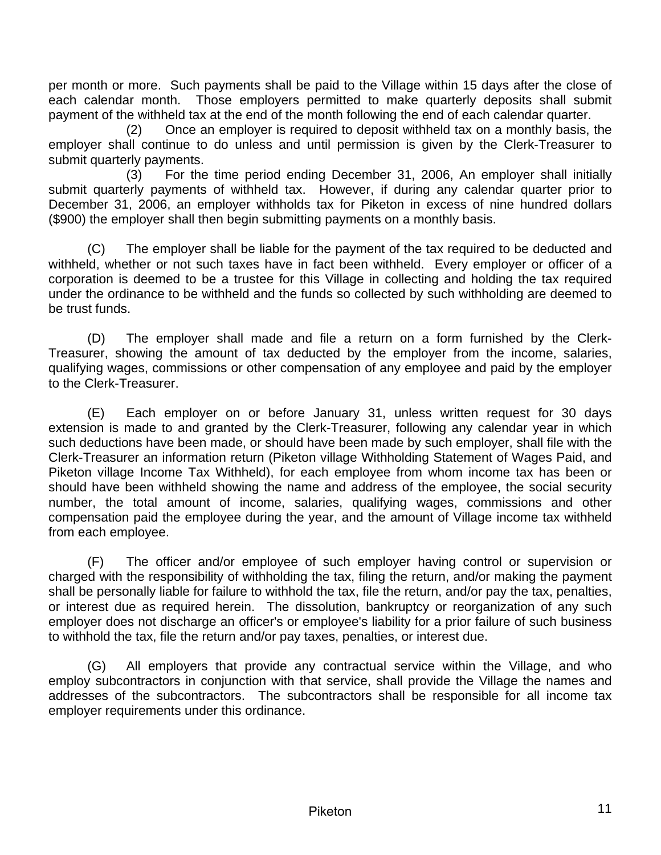per month or more. Such payments shall be paid to the Village within 15 days after the close of each calendar month. Those employers permitted to make quarterly deposits shall submit payment of the withheld tax at the end of the month following the end of each calendar quarter.

(2) Once an employer is required to deposit withheld tax on a monthly basis, the employer shall continue to do unless and until permission is given by the Clerk-Treasurer to submit quarterly payments.

(3) For the time period ending December 31, 2006, An employer shall initially submit quarterly payments of withheld tax. However, if during any calendar quarter prior to December 31, 2006, an employer withholds tax for Piketon in excess of nine hundred dollars (\$900) the employer shall then begin submitting payments on a monthly basis.

(C) The employer shall be liable for the payment of the tax required to be deducted and withheld, whether or not such taxes have in fact been withheld. Every employer or officer of a corporation is deemed to be a trustee for this Village in collecting and holding the tax required under the ordinance to be withheld and the funds so collected by such withholding are deemed to be trust funds.

(D) The employer shall made and file a return on a form furnished by the Clerk-Treasurer, showing the amount of tax deducted by the employer from the income, salaries, qualifying wages, commissions or other compensation of any employee and paid by the employer to the Clerk-Treasurer.

(E) Each employer on or before January 31, unless written request for 30 days extension is made to and granted by the Clerk-Treasurer, following any calendar year in which such deductions have been made, or should have been made by such employer, shall file with the Clerk-Treasurer an information return (Piketon village Withholding Statement of Wages Paid, and Piketon village Income Tax Withheld), for each employee from whom income tax has been or should have been withheld showing the name and address of the employee, the social security number, the total amount of income, salaries, qualifying wages, commissions and other compensation paid the employee during the year, and the amount of Village income tax withheld from each employee.

(F) The officer and/or employee of such employer having control or supervision or charged with the responsibility of withholding the tax, filing the return, and/or making the payment shall be personally liable for failure to withhold the tax, file the return, and/or pay the tax, penalties, or interest due as required herein. The dissolution, bankruptcy or reorganization of any such employer does not discharge an officer's or employee's liability for a prior failure of such business to withhold the tax, file the return and/or pay taxes, penalties, or interest due.

(G) All employers that provide any contractual service within the Village, and who employ subcontractors in conjunction with that service, shall provide the Village the names and addresses of the subcontractors. The subcontractors shall be responsible for all income tax employer requirements under this ordinance.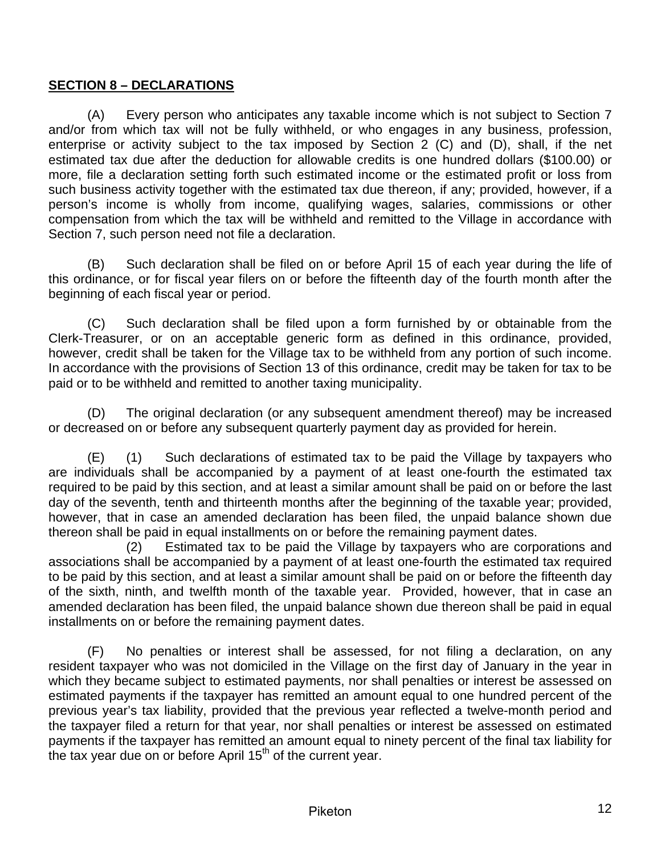#### <span id="page-11-0"></span>**SECTION 8 – DECLARATIONS**

(A) Every person who anticipates any taxable income which is not subject to Section 7 and/or from which tax will not be fully withheld, or who engages in any business, profession, enterprise or activity subject to the tax imposed by Section 2 (C) and (D), shall, if the net estimated tax due after the deduction for allowable credits is one hundred dollars (\$100.00) or more, file a declaration setting forth such estimated income or the estimated profit or loss from such business activity together with the estimated tax due thereon, if any; provided, however, if a person's income is wholly from income, qualifying wages, salaries, commissions or other compensation from which the tax will be withheld and remitted to the Village in accordance with Section 7, such person need not file a declaration.

(B) Such declaration shall be filed on or before April 15 of each year during the life of this ordinance, or for fiscal year filers on or before the fifteenth day of the fourth month after the beginning of each fiscal year or period.

(C) Such declaration shall be filed upon a form furnished by or obtainable from the Clerk-Treasurer, or on an acceptable generic form as defined in this ordinance, provided, however, credit shall be taken for the Village tax to be withheld from any portion of such income. In accordance with the provisions of Section 13 of this ordinance, credit may be taken for tax to be paid or to be withheld and remitted to another taxing municipality.

(D) The original declaration (or any subsequent amendment thereof) may be increased or decreased on or before any subsequent quarterly payment day as provided for herein.

(E) (1) Such declarations of estimated tax to be paid the Village by taxpayers who are individuals shall be accompanied by a payment of at least one-fourth the estimated tax required to be paid by this section, and at least a similar amount shall be paid on or before the last day of the seventh, tenth and thirteenth months after the beginning of the taxable year; provided, however, that in case an amended declaration has been filed, the unpaid balance shown due thereon shall be paid in equal installments on or before the remaining payment dates.

(2) Estimated tax to be paid the Village by taxpayers who are corporations and associations shall be accompanied by a payment of at least one-fourth the estimated tax required to be paid by this section, and at least a similar amount shall be paid on or before the fifteenth day of the sixth, ninth, and twelfth month of the taxable year. Provided, however, that in case an amended declaration has been filed, the unpaid balance shown due thereon shall be paid in equal installments on or before the remaining payment dates.

(F) No penalties or interest shall be assessed, for not filing a declaration, on any resident taxpayer who was not domiciled in the Village on the first day of January in the year in which they became subject to estimated payments, nor shall penalties or interest be assessed on estimated payments if the taxpayer has remitted an amount equal to one hundred percent of the previous year's tax liability, provided that the previous year reflected a twelve-month period and the taxpayer filed a return for that year, nor shall penalties or interest be assessed on estimated payments if the taxpayer has remitted an amount equal to ninety percent of the final tax liability for the tax year due on or before April  $15<sup>th</sup>$  of the current year.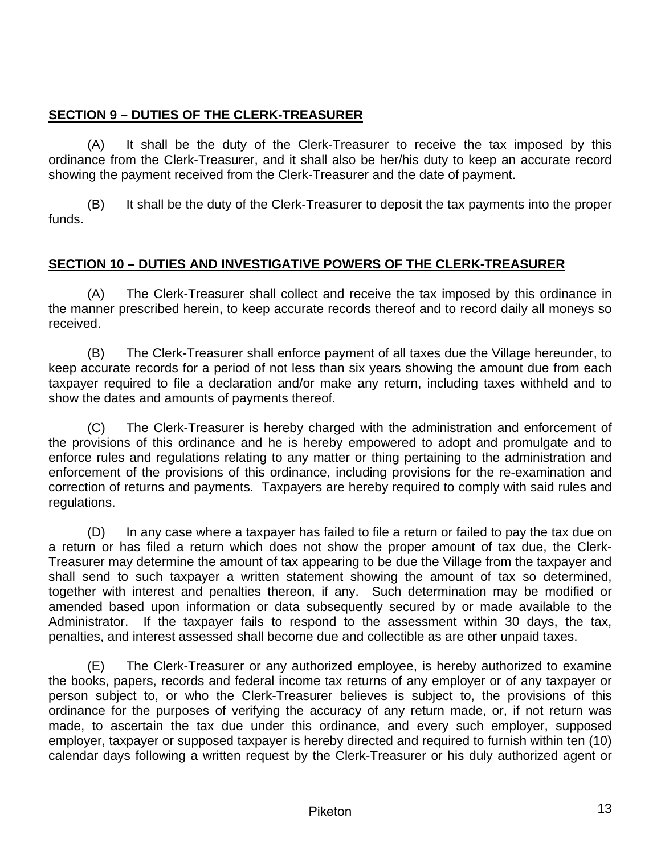## <span id="page-12-0"></span>**SECTION 9 – DUTIES OF THE CLERK-TREASURER**

(A) It shall be the duty of the Clerk-Treasurer to receive the tax imposed by this ordinance from the Clerk-Treasurer, and it shall also be her/his duty to keep an accurate record showing the payment received from the Clerk-Treasurer and the date of payment.

(B) It shall be the duty of the Clerk-Treasurer to deposit the tax payments into the proper funds.

## **SECTION 10 – DUTIES AND INVESTIGATIVE POWERS OF THE CLERK-TREASURER**

(A) The Clerk-Treasurer shall collect and receive the tax imposed by this ordinance in the manner prescribed herein, to keep accurate records thereof and to record daily all moneys so received.

(B) The Clerk-Treasurer shall enforce payment of all taxes due the Village hereunder, to keep accurate records for a period of not less than six years showing the amount due from each taxpayer required to file a declaration and/or make any return, including taxes withheld and to show the dates and amounts of payments thereof.

(C) The Clerk-Treasurer is hereby charged with the administration and enforcement of the provisions of this ordinance and he is hereby empowered to adopt and promulgate and to enforce rules and regulations relating to any matter or thing pertaining to the administration and enforcement of the provisions of this ordinance, including provisions for the re-examination and correction of returns and payments. Taxpayers are hereby required to comply with said rules and regulations.

(D) In any case where a taxpayer has failed to file a return or failed to pay the tax due on a return or has filed a return which does not show the proper amount of tax due, the Clerk-Treasurer may determine the amount of tax appearing to be due the Village from the taxpayer and shall send to such taxpayer a written statement showing the amount of tax so determined, together with interest and penalties thereon, if any. Such determination may be modified or amended based upon information or data subsequently secured by or made available to the Administrator. If the taxpayer fails to respond to the assessment within 30 days, the tax, penalties, and interest assessed shall become due and collectible as are other unpaid taxes.

(E) The Clerk-Treasurer or any authorized employee, is hereby authorized to examine the books, papers, records and federal income tax returns of any employer or of any taxpayer or person subject to, or who the Clerk-Treasurer believes is subject to, the provisions of this ordinance for the purposes of verifying the accuracy of any return made, or, if not return was made, to ascertain the tax due under this ordinance, and every such employer, supposed employer, taxpayer or supposed taxpayer is hereby directed and required to furnish within ten (10) calendar days following a written request by the Clerk-Treasurer or his duly authorized agent or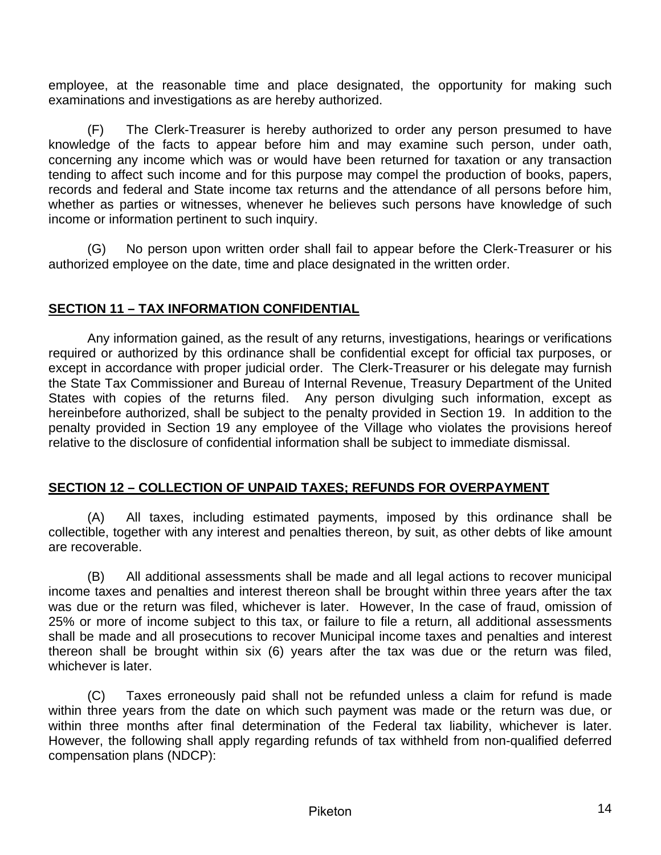<span id="page-13-0"></span>employee, at the reasonable time and place designated, the opportunity for making such examinations and investigations as are hereby authorized.

(F) The Clerk-Treasurer is hereby authorized to order any person presumed to have knowledge of the facts to appear before him and may examine such person, under oath, concerning any income which was or would have been returned for taxation or any transaction tending to affect such income and for this purpose may compel the production of books, papers, records and federal and State income tax returns and the attendance of all persons before him, whether as parties or witnesses, whenever he believes such persons have knowledge of such income or information pertinent to such inquiry.

(G) No person upon written order shall fail to appear before the Clerk-Treasurer or his authorized employee on the date, time and place designated in the written order.

### **SECTION 11 – TAX INFORMATION CONFIDENTIAL**

Any information gained, as the result of any returns, investigations, hearings or verifications required or authorized by this ordinance shall be confidential except for official tax purposes, or except in accordance with proper judicial order. The Clerk-Treasurer or his delegate may furnish the State Tax Commissioner and Bureau of Internal Revenue, Treasury Department of the United States with copies of the returns filed. Any person divulging such information, except as hereinbefore authorized, shall be subject to the penalty provided in Section 19. In addition to the penalty provided in Section 19 any employee of the Village who violates the provisions hereof relative to the disclosure of confidential information shall be subject to immediate dismissal.

#### **SECTION 12 – COLLECTION OF UNPAID TAXES; REFUNDS FOR OVERPAYMENT**

(A) All taxes, including estimated payments, imposed by this ordinance shall be collectible, together with any interest and penalties thereon, by suit, as other debts of like amount are recoverable.

(B) All additional assessments shall be made and all legal actions to recover municipal income taxes and penalties and interest thereon shall be brought within three years after the tax was due or the return was filed, whichever is later. However, In the case of fraud, omission of 25% or more of income subject to this tax, or failure to file a return, all additional assessments shall be made and all prosecutions to recover Municipal income taxes and penalties and interest thereon shall be brought within six (6) years after the tax was due or the return was filed, whichever is later.

(C) Taxes erroneously paid shall not be refunded unless a claim for refund is made within three years from the date on which such payment was made or the return was due, or within three months after final determination of the Federal tax liability, whichever is later. However, the following shall apply regarding refunds of tax withheld from non-qualified deferred compensation plans (NDCP):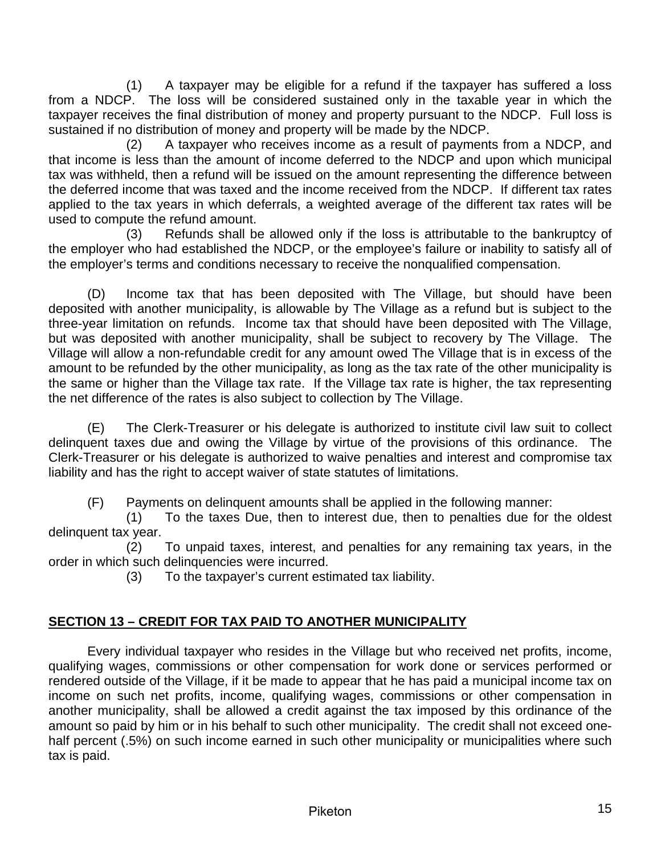<span id="page-14-0"></span>(1) A taxpayer may be eligible for a refund if the taxpayer has suffered a loss from a NDCP. The loss will be considered sustained only in the taxable year in which the taxpayer receives the final distribution of money and property pursuant to the NDCP. Full loss is sustained if no distribution of money and property will be made by the NDCP.

(2) A taxpayer who receives income as a result of payments from a NDCP, and that income is less than the amount of income deferred to the NDCP and upon which municipal tax was withheld, then a refund will be issued on the amount representing the difference between the deferred income that was taxed and the income received from the NDCP. If different tax rates applied to the tax years in which deferrals, a weighted average of the different tax rates will be used to compute the refund amount.

 (3) Refunds shall be allowed only if the loss is attributable to the bankruptcy of the employer who had established the NDCP, or the employee's failure or inability to satisfy all of the employer's terms and conditions necessary to receive the nonqualified compensation.

(D) Income tax that has been deposited with The Village, but should have been deposited with another municipality, is allowable by The Village as a refund but is subject to the three-year limitation on refunds. Income tax that should have been deposited with The Village, but was deposited with another municipality, shall be subject to recovery by The Village. The Village will allow a non-refundable credit for any amount owed The Village that is in excess of the amount to be refunded by the other municipality, as long as the tax rate of the other municipality is the same or higher than the Village tax rate. If the Village tax rate is higher, the tax representing the net difference of the rates is also subject to collection by The Village.

(E) The Clerk-Treasurer or his delegate is authorized to institute civil law suit to collect delinquent taxes due and owing the Village by virtue of the provisions of this ordinance. The Clerk-Treasurer or his delegate is authorized to waive penalties and interest and compromise tax liability and has the right to accept waiver of state statutes of limitations.

(F) Payments on delinquent amounts shall be applied in the following manner:

(1) To the taxes Due, then to interest due, then to penalties due for the oldest delinquent tax year.

(2) To unpaid taxes, interest, and penalties for any remaining tax years, in the order in which such delinquencies were incurred.

(3) To the taxpayer's current estimated tax liability.

# **SECTION 13 – CREDIT FOR TAX PAID TO ANOTHER MUNICIPALITY**

Every individual taxpayer who resides in the Village but who received net profits, income, qualifying wages, commissions or other compensation for work done or services performed or rendered outside of the Village, if it be made to appear that he has paid a municipal income tax on income on such net profits, income, qualifying wages, commissions or other compensation in another municipality, shall be allowed a credit against the tax imposed by this ordinance of the amount so paid by him or in his behalf to such other municipality. The credit shall not exceed onehalf percent (.5%) on such income earned in such other municipality or municipalities where such tax is paid.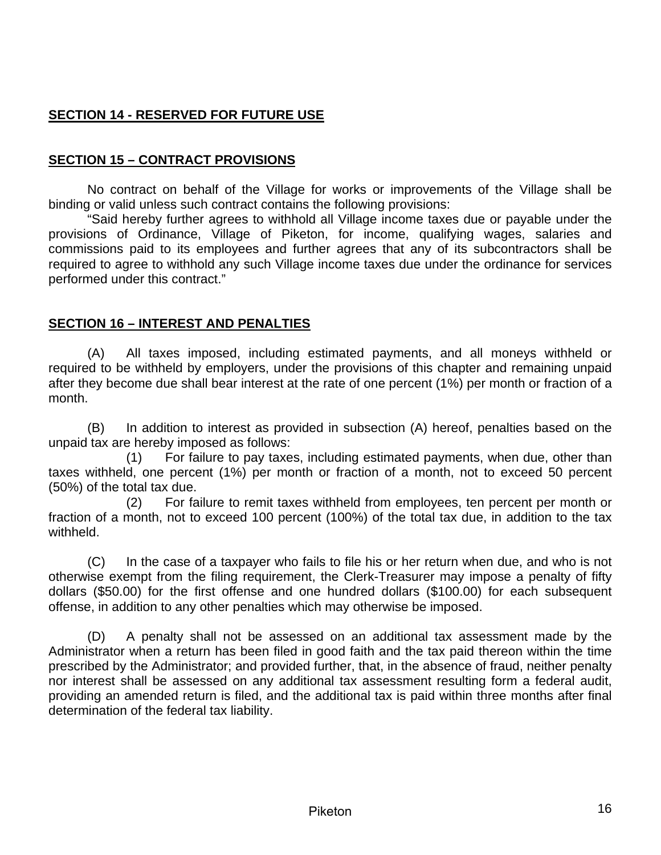# <span id="page-15-0"></span>**SECTION 14 - RESERVED FOR FUTURE USE**

#### **SECTION 15 – CONTRACT PROVISIONS**

No contract on behalf of the Village for works or improvements of the Village shall be binding or valid unless such contract contains the following provisions:

"Said hereby further agrees to withhold all Village income taxes due or payable under the provisions of Ordinance, Village of Piketon, for income, qualifying wages, salaries and commissions paid to its employees and further agrees that any of its subcontractors shall be required to agree to withhold any such Village income taxes due under the ordinance for services performed under this contract."

#### **SECTION 16 – INTEREST AND PENALTIES**

(A) All taxes imposed, including estimated payments, and all moneys withheld or required to be withheld by employers, under the provisions of this chapter and remaining unpaid after they become due shall bear interest at the rate of one percent (1%) per month or fraction of a month.

(B) In addition to interest as provided in subsection (A) hereof, penalties based on the unpaid tax are hereby imposed as follows:

(1) For failure to pay taxes, including estimated payments, when due, other than taxes withheld, one percent (1%) per month or fraction of a month, not to exceed 50 percent (50%) of the total tax due.

(2) For failure to remit taxes withheld from employees, ten percent per month or fraction of a month, not to exceed 100 percent (100%) of the total tax due, in addition to the tax withheld.

(C) In the case of a taxpayer who fails to file his or her return when due, and who is not otherwise exempt from the filing requirement, the Clerk-Treasurer may impose a penalty of fifty dollars (\$50.00) for the first offense and one hundred dollars (\$100.00) for each subsequent offense, in addition to any other penalties which may otherwise be imposed.

(D) A penalty shall not be assessed on an additional tax assessment made by the Administrator when a return has been filed in good faith and the tax paid thereon within the time prescribed by the Administrator; and provided further, that, in the absence of fraud, neither penalty nor interest shall be assessed on any additional tax assessment resulting form a federal audit, providing an amended return is filed, and the additional tax is paid within three months after final determination of the federal tax liability.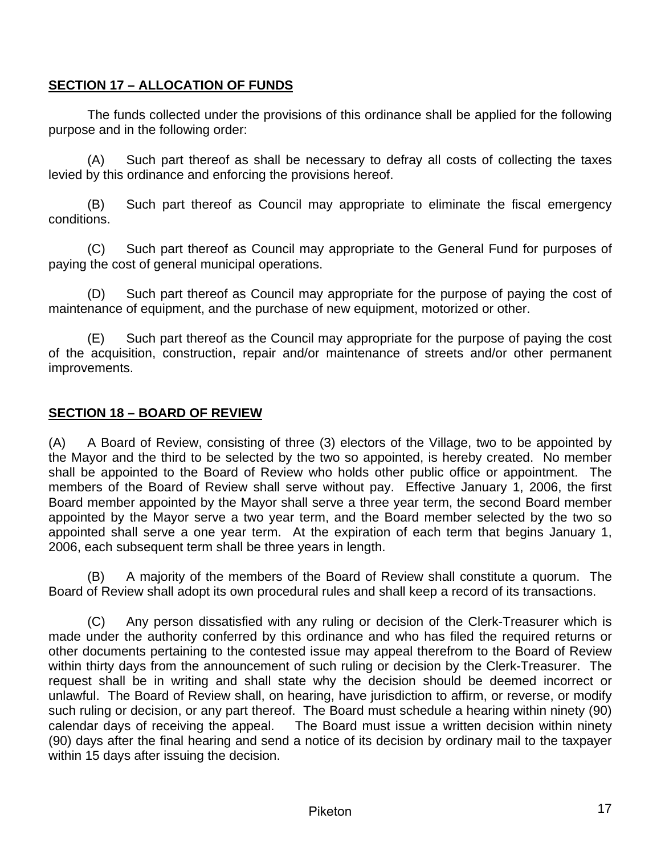## <span id="page-16-0"></span>**SECTION 17 – ALLOCATION OF FUNDS**

The funds collected under the provisions of this ordinance shall be applied for the following purpose and in the following order:

(A) Such part thereof as shall be necessary to defray all costs of collecting the taxes levied by this ordinance and enforcing the provisions hereof.

(B) Such part thereof as Council may appropriate to eliminate the fiscal emergency conditions.

(C) Such part thereof as Council may appropriate to the General Fund for purposes of paying the cost of general municipal operations.

(D) Such part thereof as Council may appropriate for the purpose of paying the cost of maintenance of equipment, and the purchase of new equipment, motorized or other.

(E) Such part thereof as the Council may appropriate for the purpose of paying the cost of the acquisition, construction, repair and/or maintenance of streets and/or other permanent improvements.

### **SECTION 18 – BOARD OF REVIEW**

(A) A Board of Review, consisting of three (3) electors of the Village, two to be appointed by the Mayor and the third to be selected by the two so appointed, is hereby created. No member shall be appointed to the Board of Review who holds other public office or appointment. The members of the Board of Review shall serve without pay. Effective January 1, 2006, the first Board member appointed by the Mayor shall serve a three year term, the second Board member appointed by the Mayor serve a two year term, and the Board member selected by the two so appointed shall serve a one year term. At the expiration of each term that begins January 1, 2006, each subsequent term shall be three years in length.

(B) A majority of the members of the Board of Review shall constitute a quorum. The Board of Review shall adopt its own procedural rules and shall keep a record of its transactions.

(C) Any person dissatisfied with any ruling or decision of the Clerk-Treasurer which is made under the authority conferred by this ordinance and who has filed the required returns or other documents pertaining to the contested issue may appeal therefrom to the Board of Review within thirty days from the announcement of such ruling or decision by the Clerk-Treasurer. The request shall be in writing and shall state why the decision should be deemed incorrect or unlawful. The Board of Review shall, on hearing, have jurisdiction to affirm, or reverse, or modify such ruling or decision, or any part thereof. The Board must schedule a hearing within ninety (90) calendar days of receiving the appeal. The Board must issue a written decision within ninety (90) days after the final hearing and send a notice of its decision by ordinary mail to the taxpayer within 15 days after issuing the decision.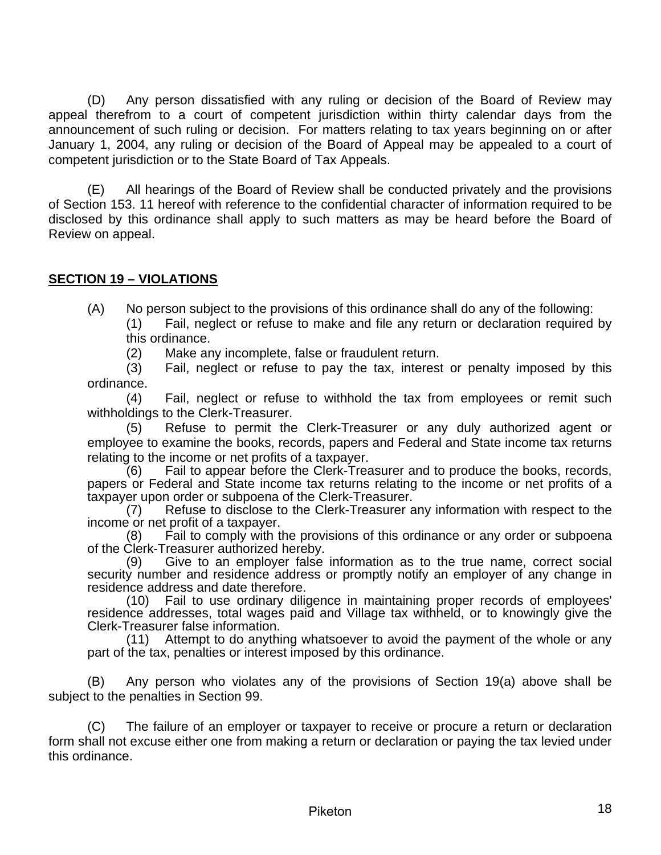<span id="page-17-0"></span>(D) Any person dissatisfied with any ruling or decision of the Board of Review may appeal therefrom to a court of competent jurisdiction within thirty calendar days from the announcement of such ruling or decision. For matters relating to tax years beginning on or after January 1, 2004, any ruling or decision of the Board of Appeal may be appealed to a court of competent jurisdiction or to the State Board of Tax Appeals.

(E) All hearings of the Board of Review shall be conducted privately and the provisions of Section 153. 11 hereof with reference to the confidential character of information required to be disclosed by this ordinance shall apply to such matters as may be heard before the Board of Review on appeal.

### **SECTION 19 – VIOLATIONS**

(A) No person subject to the provisions of this ordinance shall do any of the following:

(1) Fail, neglect or refuse to make and file any return or declaration required by this ordinance.

(2) Make any incomplete, false or fraudulent return.

(3) Fail, neglect or refuse to pay the tax, interest or penalty imposed by this ordinance.

(4) Fail, neglect or refuse to withhold the tax from employees or remit such withholdings to the Clerk-Treasurer.

(5) Refuse to permit the Clerk-Treasurer or any duly authorized agent or employee to examine the books, records, papers and Federal and State income tax returns relating to the income or net profits of a taxpayer.

(6) Fail to appear before the Clerk-Treasurer and to produce the books, records, papers or Federal and State income tax returns relating to the income or net profits of a taxpayer upon order or subpoena of the Clerk-Treasurer.

(7) Refuse to disclose to the Clerk-Treasurer any information with respect to the income or net profit of a taxpayer.

(8) Fail to comply with the provisions of this ordinance or any order or subpoena of the Clerk-Treasurer authorized hereby.

(9) Give to an employer false information as to the true name, correct social security number and residence address or promptly notify an employer of any change in residence address and date therefore.

(10) Fail to use ordinary diligence in maintaining proper records of employees' residence addresses, total wages paid and Village tax withheld, or to knowingly give the Clerk-Treasurer false information.

(11) Attempt to do anything whatsoever to avoid the payment of the whole or any part of the tax, penalties or interest imposed by this ordinance.

(B) Any person who violates any of the provisions of Section 19(a) above shall be subject to the penalties in Section 99.

(C) The failure of an employer or taxpayer to receive or procure a return or declaration form shall not excuse either one from making a return or declaration or paying the tax levied under this ordinance.